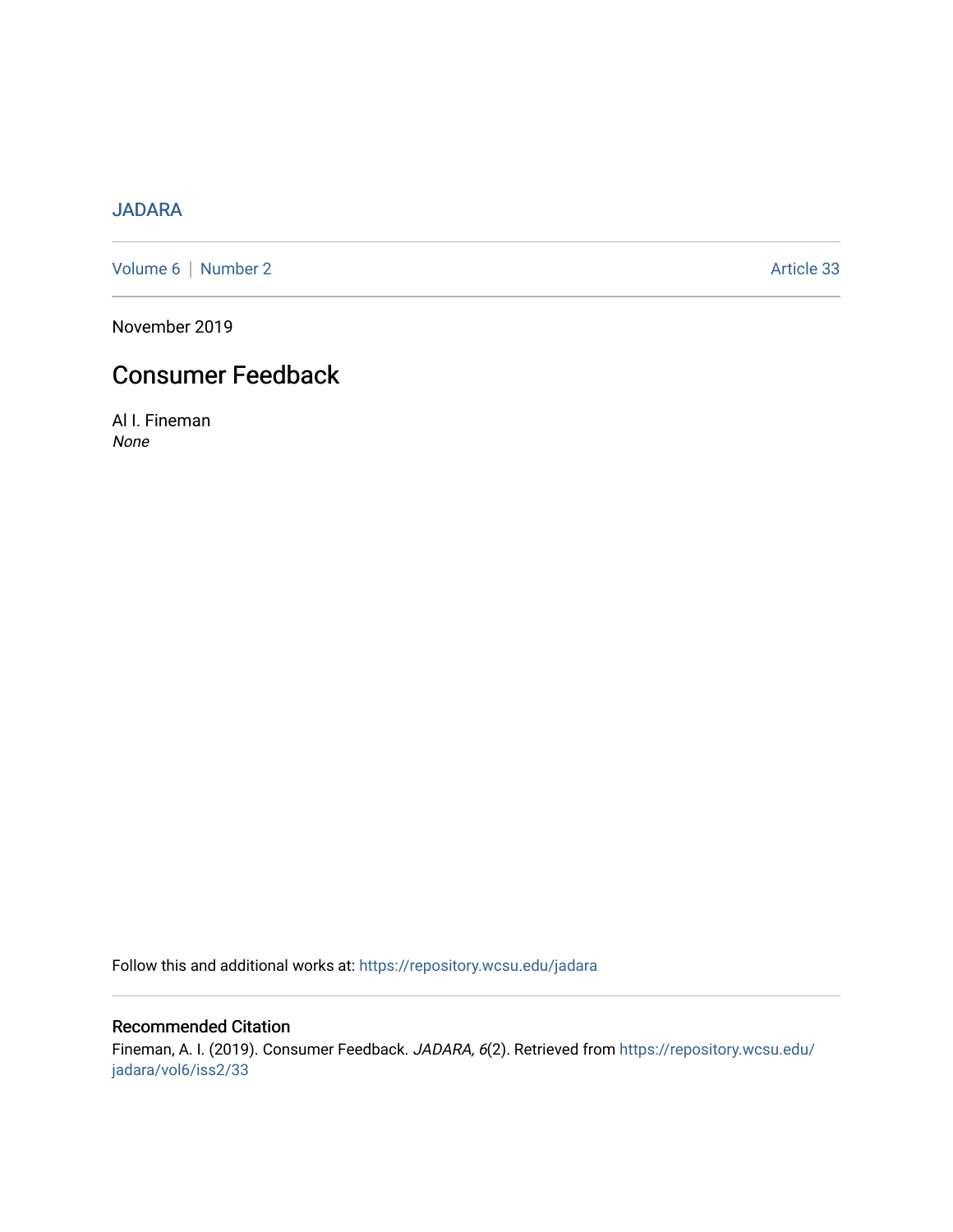## [JADARA](https://repository.wcsu.edu/jadara)

[Volume 6](https://repository.wcsu.edu/jadara/vol6) | [Number 2](https://repository.wcsu.edu/jadara/vol6/iss2) Article 33

November 2019

# Consumer Feedback

Al I. Fineman None

Follow this and additional works at: [https://repository.wcsu.edu/jadara](https://repository.wcsu.edu/jadara?utm_source=repository.wcsu.edu%2Fjadara%2Fvol6%2Fiss2%2F33&utm_medium=PDF&utm_campaign=PDFCoverPages)

### Recommended Citation

Fineman, A. I. (2019). Consumer Feedback. JADARA, 6(2). Retrieved from [https://repository.wcsu.edu/](https://repository.wcsu.edu/jadara/vol6/iss2/33?utm_source=repository.wcsu.edu%2Fjadara%2Fvol6%2Fiss2%2F33&utm_medium=PDF&utm_campaign=PDFCoverPages) [jadara/vol6/iss2/33](https://repository.wcsu.edu/jadara/vol6/iss2/33?utm_source=repository.wcsu.edu%2Fjadara%2Fvol6%2Fiss2%2F33&utm_medium=PDF&utm_campaign=PDFCoverPages)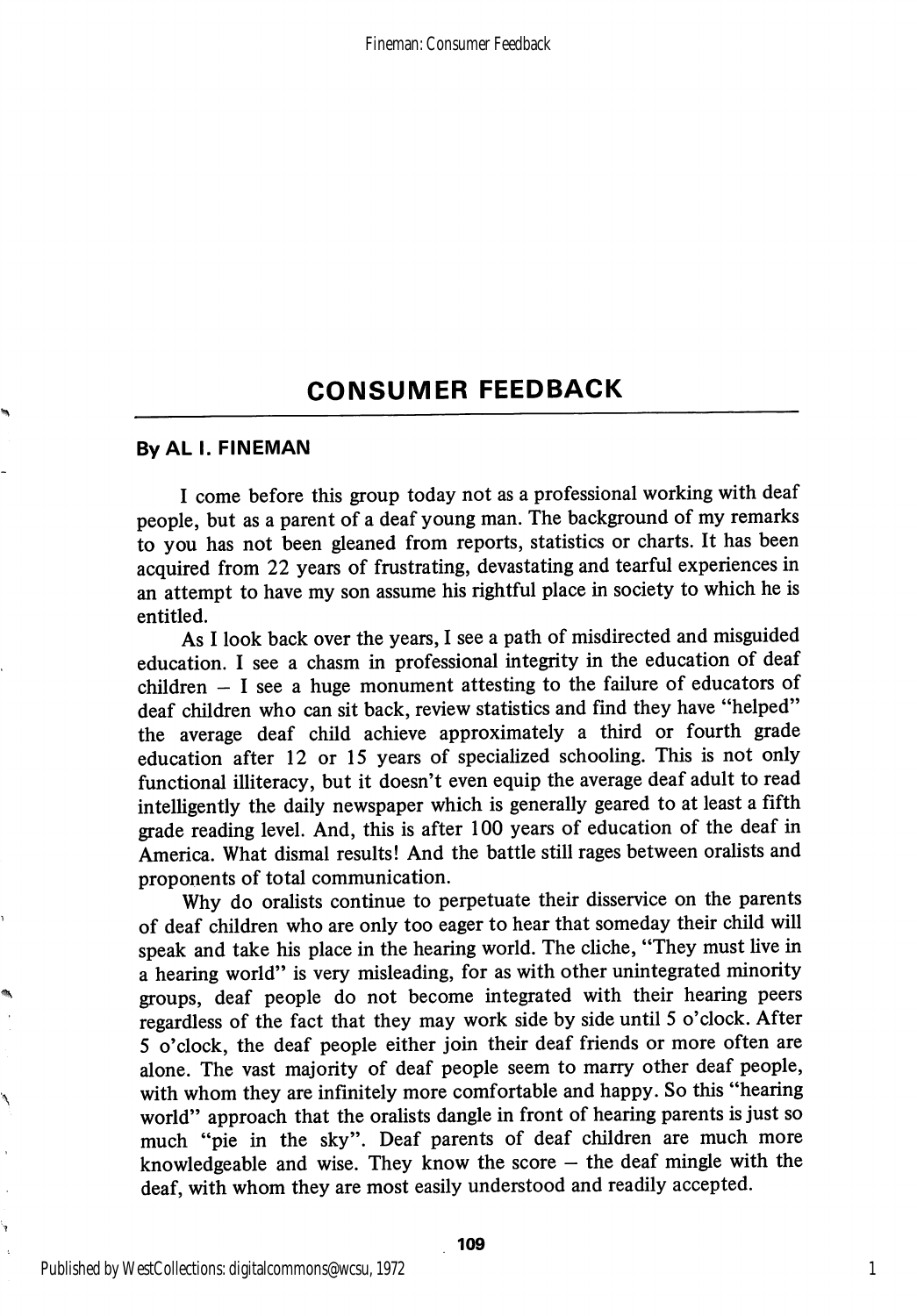#### ByAL I. FINEMAN

I come before this group today not as a professional working with deaf people, but as a parent of a deaf young man. The background of my remarks to you has not been gleaned from reports, statistics or charts. It has been acquired from 22 years of frustrating, devastating and tearful experiences in an attempt to have my son assume his rightful place in society to which he is entitled.

As I look back over the years, I see a path of misdirected and misguided education. I see a chasm in professional integrity in the education of deaf children  $-$  I see a huge monument attesting to the failure of educators of deaf children who can sit back, review statistics and find they have "helped" the average deaf child achieve approximately a third or fourth grade education after 12 or 15 years of specialized schooling. This is not only functional illiteracy, but it doesn't even equip the average deaf adult to read intelligently the daily newspaper which is generally geared to at least a fifth grade reading level. And, this is after 100 years of education of the deaf in America. What dismal results! And the battle still rages between oralists and proponents of total communication.

Why do oralists continue to perpetuate their disservice on the parents of deaf children who are only too eager to hear that someday their child will speak and take his place in the hearing world. The cliche, "They must live in a hearing world" is very misleading, for as with other unintegrated minority groups, deaf people do not become integrated with their hearing peers regardless of the fact that they may work side by side until 5 o'clock. After 5 o'clock, the deaf people either join their deaf friends or more often are alone. The vast majority of deaf people seem to marry other deaf people, with whom they are infinitely more comfortable and happy. So this "hearing world" approach that the oralists dangle in front of hearing parents is just so much "pie in the sky". Deaf parents of deaf children are much more knowledgeable and wise. They know the score  $-$  the deaf mingle with the deaf, with whom they are most easily understood and readily accepted.

۱

1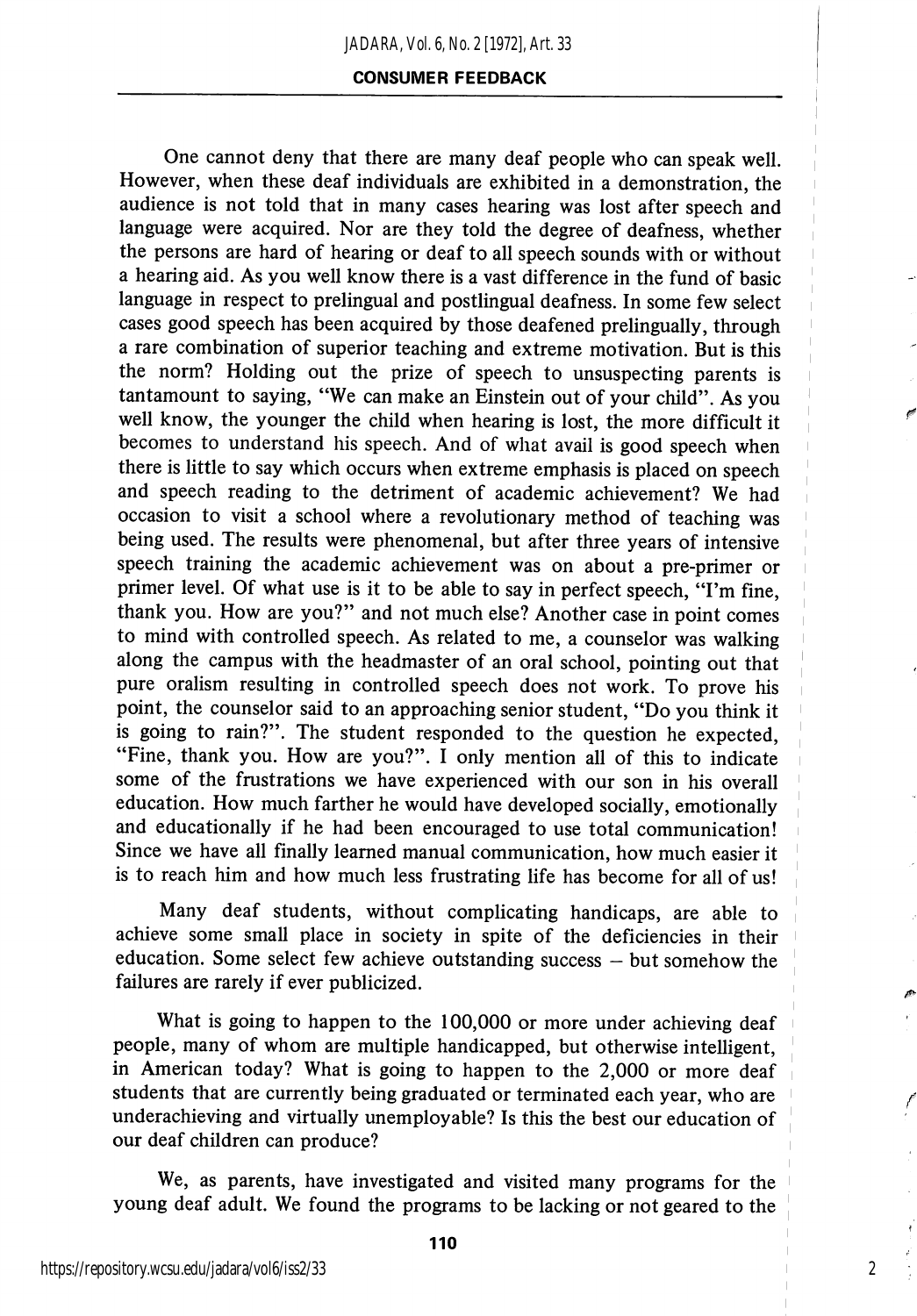One cannot deny that there are many deaf people who can speak well. However, when these deaf individuals are exhibited in a demonstration, the audience is not told that in many cases hearing was lost after speech and language were acquired. Nor are they told the degree of deafness, whether the persons are hard of hearing or deaf to all speech sounds with or without a hearing aid. As you well know there is a vast difference in the fund of basic language in respect to prelingual and postlingual deafness. In some few select cases good speech has been acquired by those deafened prelingually, through a rare combination of superior teaching and extreme motivation. But is this the norm? Holding out the prize of speech to unsuspecting parents is tantamount to saying, "We can make an Einstein out of your child". As you well know, the younger the child when hearing is lost, the more difficult it becomes to understand his speech. And of what avail is good speech when there is little to say which occurs when extreme emphasis is placed on speech and speech reading to the detriment of academic achievement? We had occasion to visit a school where a revolutionary method of teaching was being used. The results were phenomenal, but after three years of intensive speech training the academic achievement was on about a pre-primer or primer level. Of what use is it to be able to say in perfect speech, "I'm fine, thank you. How are you?" and not much else? Another case in point comes to mind with controlled speech. As related to me, a counselor was walking along the campus with the headmaster of an oral school, pointing out that pure oralism resulting in controlled speech does not work. To prove his point, the counselor said to an approaching senior student, "Do you think it is going to rain?". The student responded to the question he expected, "Fine, thank you. How are you?". I only mention all of this to indicate some of the frustrations we have experienced with our son in his overall education. How much farther he would have developed socially, emotionally and educationally if he had been encouraged to use total communication! Since we have all finally learned manual communication, how much easier it is to reach him and how much less frustrating life has become for all of us!

Many deaf students, without complicating handicaps, are able to achieve some small place in society in spite of the deficiencies in their education. Some select few achieve outstanding success — but somehow the failures are rarely if ever publicized.

What is going to happen to the 100,000 or more under achieving deaf people, many of whom are multiple handicapped, but otherwise intelligent, in American today? What is going to happen to the 2,000 or more deaf students that are currently being graduated or terminated each year, who are underachieving and virtually unemployable? Is this the best our education of our deaf children can produce?

We, as parents, have investigated and visited many programs for the young deaf adult. We found the programs to be lacking or not geared to the

2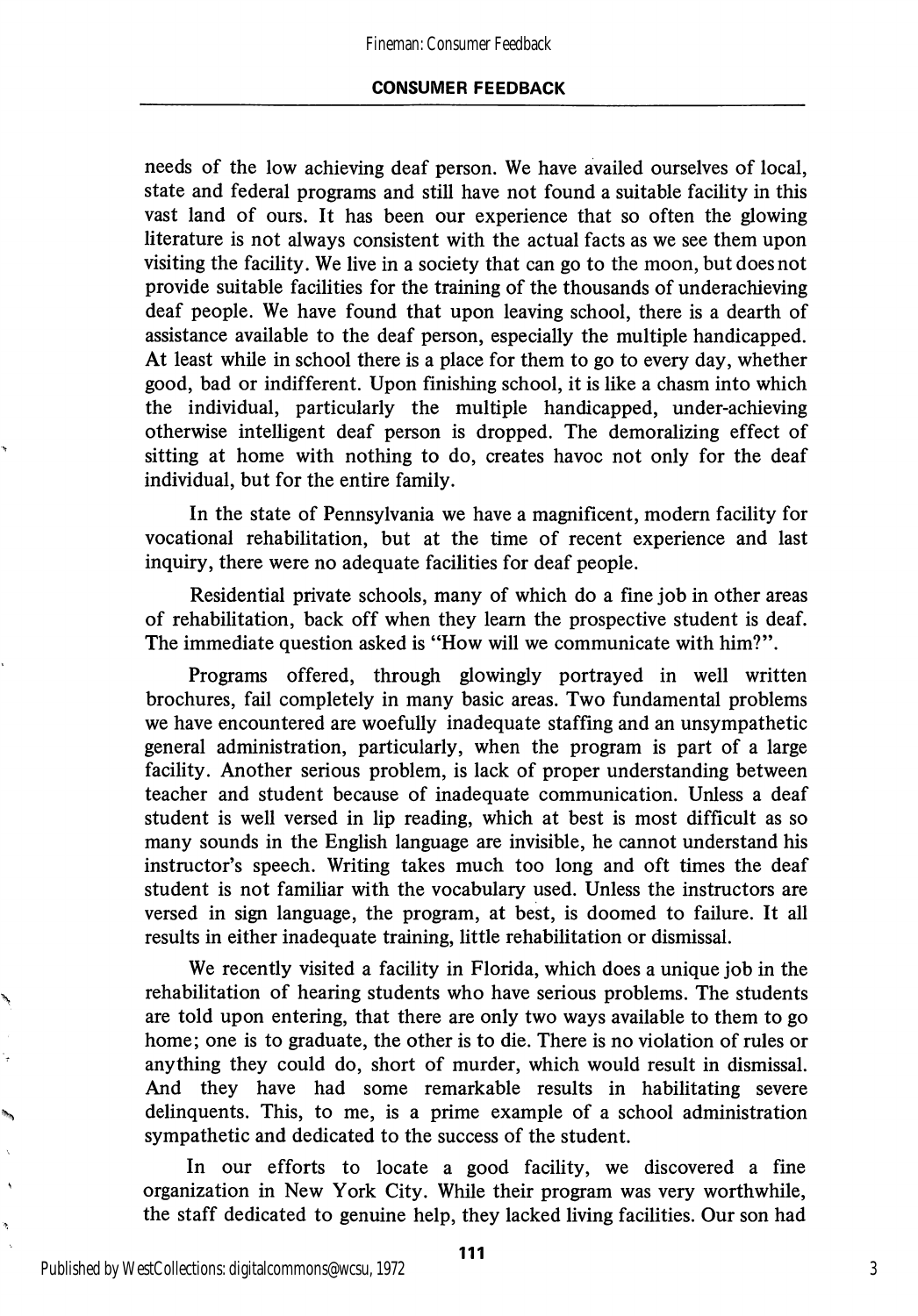needs of the low achieving deaf person. We have availed ourselves of local, state and federal programs and still have not found a suitable facility in this vast land of ours. It has been our experience that so often the glowing literature is not always consistent with the actual facts as we see them upon visiting the facility. We live in a society that can go to the moon, but does not provide suitable facilities for the training of the thousands of underachieving deaf people. We have found that upon leaving school, there is a dearth of assistance available to the deaf person, especially the multiple handicapped. At least while in school there is a place for them to go to every day, whether good, bad or indifferent. Upon finishing school, it is like a chasm into which the individual, particularly the multiple handicapped, under-achieving otherwise intelligent deaf person is dropped. The demoralizing effect of sitting at home with nothing to do, creates havoc not only for the deaf individual, but for the entire family.

In the state of Pennsylvania we have a magnificent, modern facility for vocational rehabilitation, but at the time of recent experience and last inquiry, there were no adequate facilities for deaf people.

Residential private schools, many of which do a fine job in other areas of rehabilitation, back off when they leam the prospective student is deaf. The immediate question asked is "How will we communicate with him?".

Programs offered, through glowingly portrayed in well written brochures, fail completely in many basic areas. Two fundamental problems we have encountered are woefully inadequate staffing and an unsympathetic general administration, particularly, when the program is part of a large facility. Another serious problem, is lack of proper understanding between teacher and student because of inadequate communication. Unless a deaf student is well versed in lip reading, which at best is most difficult as so many sounds in the English language are invisible, he cannot understand his instructor's speech. Writing takes much too long and oft times the deaf student is not familiar with the vocabulary used. Unless the instructors are versed in sign language, the program, at best, is doomed to failure. It all results in either inadequate training, little rehabilitation or dismissal.

We recently visited a facility in Florida, which does a unique job in the rehabilitation of hearing students who have serious problems. The students are told upon entering, that there are only two ways available to them to go home; one is to graduate, the other is to die. There is no violation of rules or anything they could do, short of murder, which would result in dismissal. And they have had some remarkable results in habilitating severe delinquents. This, to me, is a prime example of a school administration sympathetic and dedicated to the success of the student.

In our efforts to locate a good facility, we discovered a fine organization in New York City. While their program was very worthwhile, the staff dedicated to genuine help, they lacked living facilities. Our son had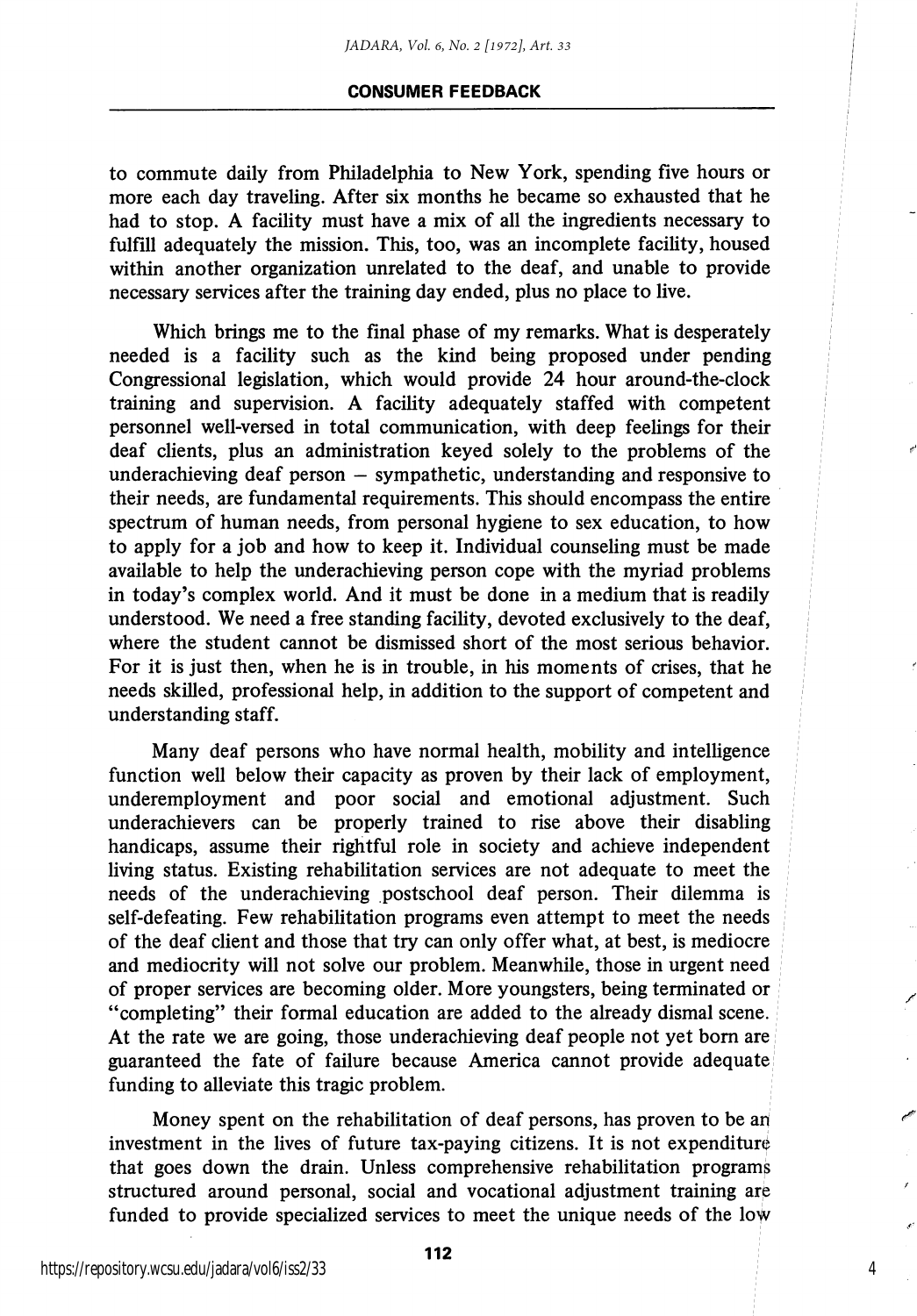to commute daily from Philadelphia to New York, spending five hours or more each day traveling. After six months he became so exhausted that he had to stop. A facility must have a mix of all the ingredients necessary to fulfill adequately the mission. This, too, was an incomplete facility, housed within another organization unrelated to the deaf, and unable to provide necessary services after the training day ended, plus no place to live.

Which brings me to the final phase of my remarks. What is desperately needed is a facility such as the kind being proposed under pending Congressional legislation, which would provide 24 hour around-the-clock training and supervision. A facility adequately staffed with competent personnel well-versed in total communication, with deep feehngs for their deaf clients, plus an administration keyed solely to the problems of the underachieving deaf person — sympathetic, understanding and responsive to their needs, are fundamental requirements. This should encompass the entire spectrum of human needs, from personal hygiene to sex education, to how to apply for a job and how to keep it. Individual counseling must be made available to help the underachieving person cope with the myriad problems in today's complex world. And it must be done in a medium that is readily understood. We need a free standing facihty, devoted exclusively to the deaf, where the student cannot be dismissed short of the most serious behavior. For it is just then, when he is in trouble, in his moments of crises, that he needs skilled, professional help, in addition to the support of competent and understanding staff.

Many deaf persons who have normal health, mobility and intelligence function well below their capacity as proven by their lack of employment, underemployment and poor social and emotional adjustment. Such underachievers can be properly trained to rise above their disabling handicaps, assume their rightful role in society and achieve independent living status. Existing rehabilitation services are not adequate to meet the needs of the underachieving postschool deaf person. Their dilemma is self-defeating. Few rehabilitation programs even attempt to meet the needs of the deaf client and those that try can only offer what, at best, is mediocre and mediocrity will not solve our problem. Meanwhile, those in urgent need of proper services are becoming older. More youngsters, being terminated or "completing" their formal education are added to the already dismal scene. At the rate we are going, those underachieving deaf people not yet bom are guaranteed the fate of failure because America cannot provide adequate funding to alleviate this tragic problem.

Money spent on the rehabilitation of deaf persons, has proven to be ah investment in the lives of future tax-paying citizens. It is not expenditure that goes down the drain. Unless comprehensive rehabilitation programs structured around personal, social and vocational adjustment training are funded to provide specialized services to meet the unique needs of the low

4